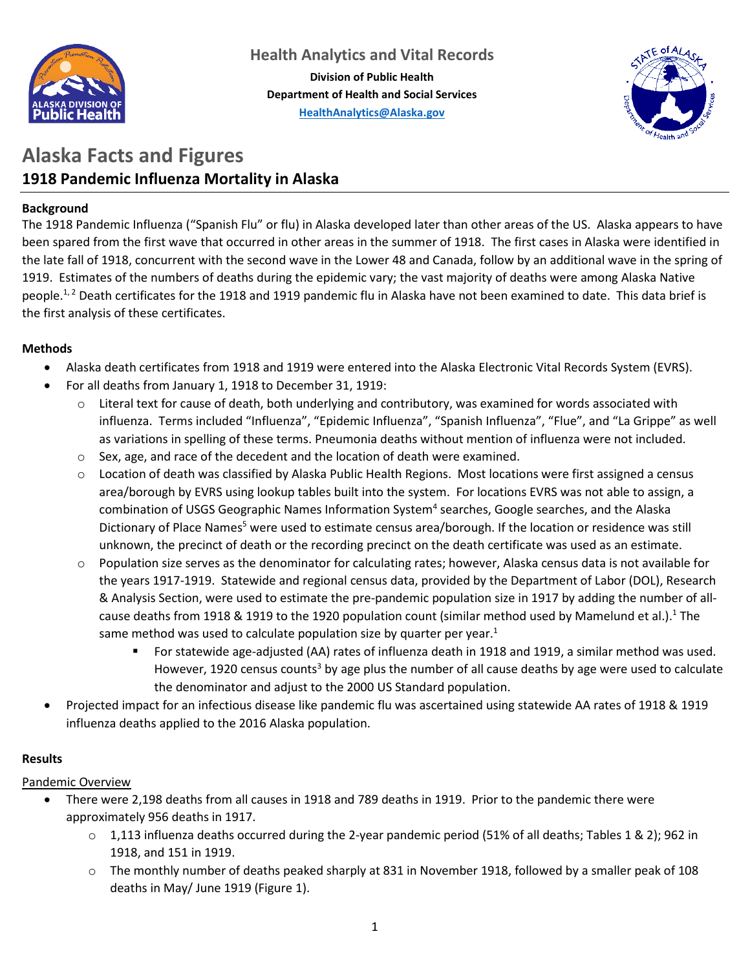

**Department of Health and Social Services [HealthAnalytics@Alaska.gov](mailto:HealthAnalytics@alaska.gov)**



# **Alaska Facts and Figures 1918 Pandemic Influenza Mortality in Alaska**

## **Background**

The 1918 Pandemic Influenza ("Spanish Flu" or flu) in Alaska developed later than other areas of the US. Alaska appears to have been spared from the first wave that occurred in other areas in the summer of 1918. The first cases in Alaska were identified in the late fall of 1918, concurrent with the second wave in the Lower 48 and Canada, follow by an additional wave in the spring of 1919. Estimates of the numbers of deaths during the epidemic vary; the vast majority of deaths were among Alaska Native people.<sup>1, 2</sup> Death certificates for the 1918 and 1919 pandemic flu in Alaska have not been examined to date. This data brief is the first analysis of these certificates.

## **Methods**

- Alaska death certificates from 1918 and 1919 were entered into the Alaska Electronic Vital Records System (EVRS).
- For all deaths from January 1, 1918 to December 31, 1919:
	- $\circ$  Literal text for cause of death, both underlying and contributory, was examined for words associated with influenza. Terms included "Influenza", "Epidemic Influenza", "Spanish Influenza", "Flue", and "La Grippe" as well as variations in spelling of these terms. Pneumonia deaths without mention of influenza were not included.
	- o Sex, age, and race of the decedent and the location of death were examined.
	- o Location of death was classified by Alaska Public Health Regions. Most locations were first assigned a census area/borough by EVRS using lookup tables built into the system. For locations EVRS was not able to assign, a combination of USGS Geographic Names Information System<sup>4</sup> searches, Google searches, and the Alaska Dictionary of Place Names<sup>5</sup> were used to estimate census area/borough. If the location or residence was still unknown, the precinct of death or the recording precinct on the death certificate was used as an estimate.
	- o Population size serves as the denominator for calculating rates; however, Alaska census data is not available for the years 1917-1919. Statewide and regional census data, provided by the Department of Labor (DOL), Research & Analysis Section, were used to estimate the pre-pandemic population size in 1917 by adding the number of allcause deaths from 1918 & 1919 to the 1920 population count (similar method used by Mamelund et al.).<sup>1</sup> The same method was used to calculate population size by quarter per year.<sup>1</sup>
		- For statewide age-adjusted (AA) rates of influenza death in 1918 and 1919, a similar method was used. However, 1920 census counts<sup>3</sup> by age plus the number of all cause deaths by age were used to calculate the denominator and adjust to the 2000 US Standard population.
- Projected impact for an infectious disease like pandemic flu was ascertained using statewide AA rates of 1918 & 1919 influenza deaths applied to the 2016 Alaska population.

# **Results**

# Pandemic Overview

- There were 2,198 deaths from all causes in 1918 and 789 deaths in 1919. Prior to the pandemic there were approximately 956 deaths in 1917.
	- $\circ$  1,113 influenza deaths occurred during the 2-year pandemic period (51% of all deaths; Tables 1 & 2); 962 in 1918, and 151 in 1919.
	- o The monthly number of deaths peaked sharply at 831 in November 1918, followed by a smaller peak of 108 deaths in May/ June 1919 (Figure 1).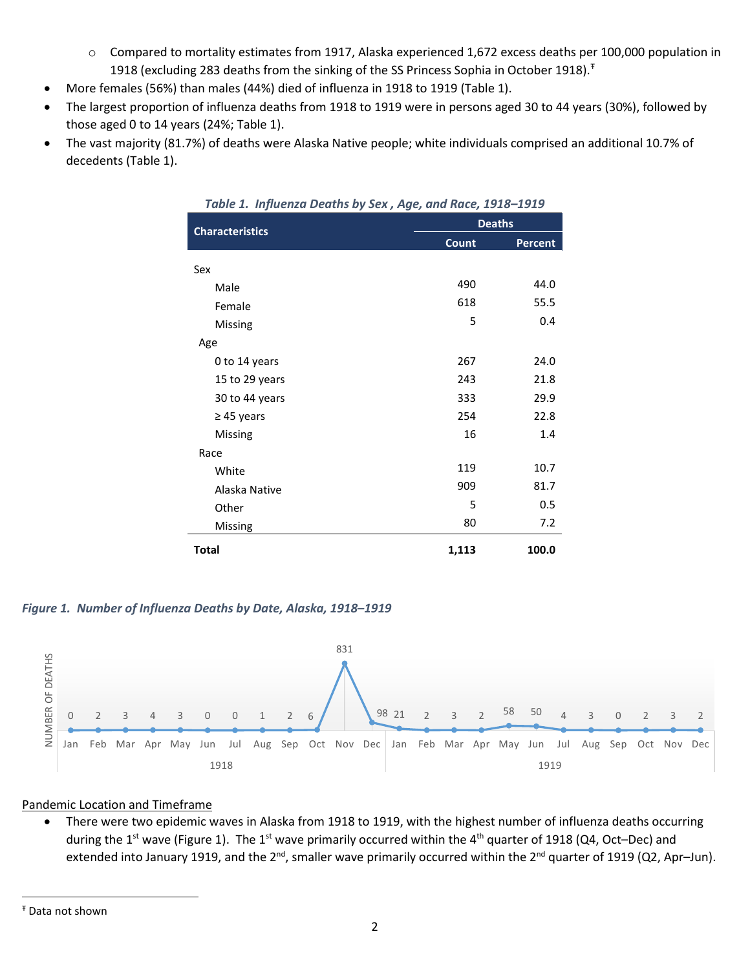- o Compared to mortality estimates from 1917, Alaska experienced 1,672 excess deaths per 100,000 population in 1918 (excluding 283 deaths from the sinking of the SS Princess Sophia in October 1918).<sup>†</sup>
- More females (56%) than males (44%) died of influenza in 1918 to 1919 (Table 1).
- The largest proportion of influenza deaths from 1918 to 1919 were in persons aged 30 to 44 years (30%), followed by those aged 0 to 14 years (24%; Table 1).
- The vast majority (81.7%) of deaths were Alaska Native people; white individuals comprised an additional 10.7% of decedents (Table 1).

| Table 1. Influenza Deaths by Sex, Age, and Race, 1918-1919 |       |                |  |  |  |  |  |
|------------------------------------------------------------|-------|----------------|--|--|--|--|--|
| <b>Characteristics</b>                                     |       | <b>Deaths</b>  |  |  |  |  |  |
|                                                            | Count | <b>Percent</b> |  |  |  |  |  |
| Sex                                                        |       |                |  |  |  |  |  |
| Male                                                       | 490   | 44.0           |  |  |  |  |  |
| Female                                                     | 618   | 55.5           |  |  |  |  |  |
| Missing                                                    | 5     | 0.4            |  |  |  |  |  |
| Age                                                        |       |                |  |  |  |  |  |
| 0 to 14 years                                              | 267   | 24.0           |  |  |  |  |  |
| 15 to 29 years                                             | 243   | 21.8           |  |  |  |  |  |
| 30 to 44 years                                             | 333   | 29.9           |  |  |  |  |  |
| $\geq$ 45 years                                            | 254   | 22.8           |  |  |  |  |  |
| Missing                                                    | 16    | 1.4            |  |  |  |  |  |
| Race                                                       |       |                |  |  |  |  |  |
| White                                                      | 119   | 10.7           |  |  |  |  |  |
| Alaska Native                                              | 909   | 81.7           |  |  |  |  |  |
| Other                                                      | 5     | 0.5            |  |  |  |  |  |
| Missing                                                    | 80    | 7.2            |  |  |  |  |  |
| <b>Total</b>                                               | 1,113 | 100.0          |  |  |  |  |  |

*Figure 1. Number of Influenza Deaths by Date, Alaska, 1918–1919*



#### Pandemic Location and Timeframe

• There were two epidemic waves in Alaska from 1918 to 1919, with the highest number of influenza deaths occurring during the 1<sup>st</sup> wave (Figure 1). The 1<sup>st</sup> wave primarily occurred within the 4<sup>th</sup> quarter of 1918 (Q4, Oct–Dec) and extended into January 1919, and the 2<sup>nd</sup>, smaller wave primarily occurred within the 2<sup>nd</sup> quarter of 1919 (Q2, Apr-Jun).

l

<span id="page-1-0"></span><sup>Ŧ</sup> Data not shown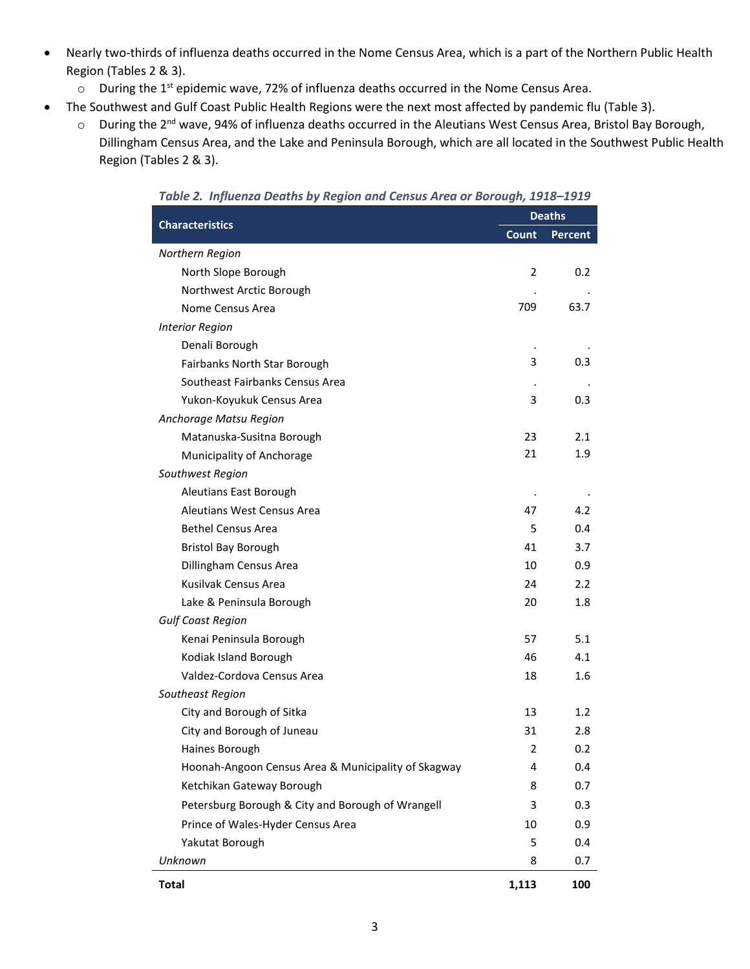- Nearly two-thirds of influenza deaths occurred in the Nome Census Area, which is a part of the Northern Public Health Region (Tables 2 & 3).
	- o During the 1st epidemic wave, 72% of influenza deaths occurred in the Nome Census Area.
- The Southwest and Gulf Coast Public Health Regions were the next most affected by pandemic flu (Table 3).
	- o During the 2<sup>nd</sup> wave, 94% of influenza deaths occurred in the Aleutians West Census Area, Bristol Bay Borough, Dillingham Census Area, and the Lake and Peninsula Borough, which are all located in the Southwest Public Health Region (Tables 2 & 3).

| rabic 2. Thjiachza Deaths by Negion and Census Area or Dorough, 1910–1919 | <b>Deaths</b>           |                  |  |  |
|---------------------------------------------------------------------------|-------------------------|------------------|--|--|
| <b>Characteristics</b>                                                    | Count                   | <b>Percent</b>   |  |  |
| Northern Region                                                           |                         |                  |  |  |
| North Slope Borough                                                       | 2                       | 0.2 <sub>0</sub> |  |  |
| Northwest Arctic Borough                                                  |                         |                  |  |  |
| Nome Census Area                                                          | 709                     | 63.7             |  |  |
| <b>Interior Region</b>                                                    |                         |                  |  |  |
| Denali Borough                                                            |                         |                  |  |  |
| Fairbanks North Star Borough                                              | 3                       | 0.3              |  |  |
| Southeast Fairbanks Census Area                                           |                         |                  |  |  |
| Yukon-Koyukuk Census Area                                                 | 3                       | 0.3              |  |  |
| Anchorage Matsu Region                                                    |                         |                  |  |  |
| Matanuska-Susitna Borough                                                 | 23                      | 2.1              |  |  |
| Municipality of Anchorage                                                 | 21                      | 1.9              |  |  |
| Southwest Region                                                          |                         |                  |  |  |
| Aleutians East Borough                                                    |                         |                  |  |  |
| Aleutians West Census Area                                                | 47                      | 4.2              |  |  |
| <b>Bethel Census Area</b>                                                 | 5                       | 0.4              |  |  |
| <b>Bristol Bay Borough</b>                                                | 41                      | 3.7              |  |  |
| Dillingham Census Area                                                    | 10                      | 0.9              |  |  |
| Kusilvak Census Area                                                      | 24                      | 2.2              |  |  |
| Lake & Peninsula Borough                                                  | 20                      | 1.8              |  |  |
| <b>Gulf Coast Region</b>                                                  |                         |                  |  |  |
| Kenai Peninsula Borough                                                   | 57                      | 5.1              |  |  |
| Kodiak Island Borough                                                     | 46                      | 4.1              |  |  |
| Valdez-Cordova Census Area                                                | 18                      | 1.6              |  |  |
| Southeast Region                                                          |                         |                  |  |  |
| City and Borough of Sitka                                                 | 13                      | 1.2 <sub>1</sub> |  |  |
| City and Borough of Juneau                                                | 31                      | 2.8              |  |  |
| Haines Borough                                                            | $\overline{\mathbf{c}}$ | 0.2              |  |  |
| Hoonah-Angoon Census Area & Municipality of Skagway                       | 4                       | 0.4              |  |  |
| Ketchikan Gateway Borough                                                 | 8                       | 0.7              |  |  |
| Petersburg Borough & City and Borough of Wrangell                         | 3                       | 0.3              |  |  |
| Prince of Wales-Hyder Census Area                                         | 10                      | 0.9              |  |  |
| Yakutat Borough                                                           | 5                       | 0.4              |  |  |
| Unknown                                                                   | 8                       | 0.7              |  |  |
| <b>Total</b>                                                              | 1,113                   | 100              |  |  |

*Table 2. Influenza Deaths by Region and Census Area or Borough, 1918–1919*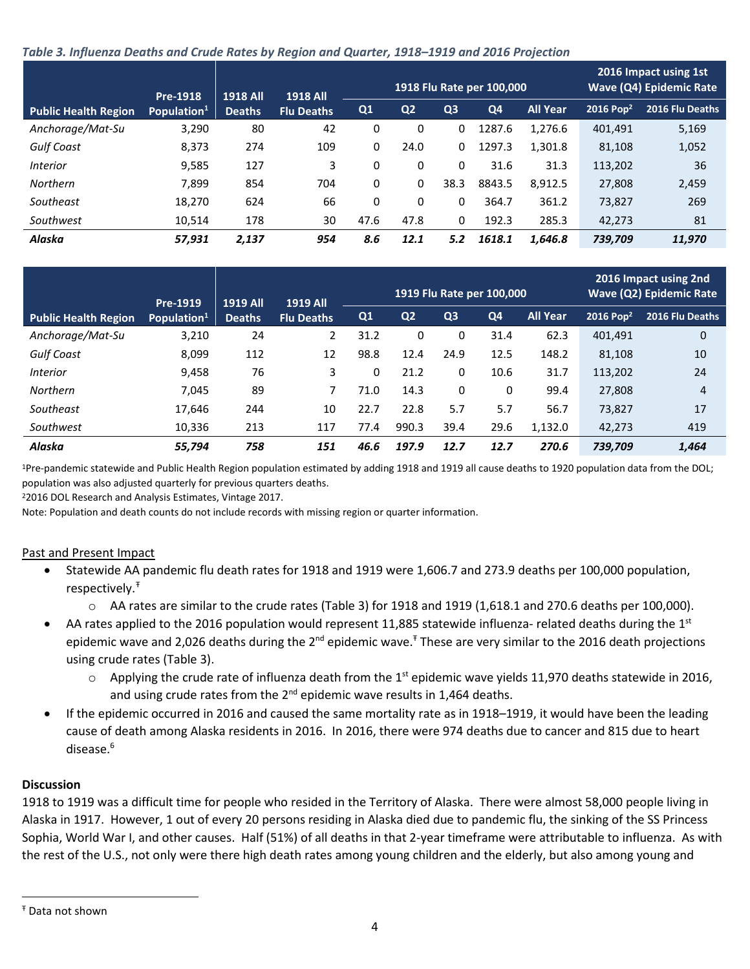#### *Table 3. Influenza Deaths and Crude Rates by Region and Quarter, 1918–1919 and 2016 Projection*

|                             | Pre-1918                | <b>1918 All</b> | <b>1918 All</b>   | 1918 Flu Rate per 100,000 |                |                |                | 2016 Impact using 1st<br><b>Wave (Q4) Epidemic Rate</b> |                       |                 |
|-----------------------------|-------------------------|-----------------|-------------------|---------------------------|----------------|----------------|----------------|---------------------------------------------------------|-----------------------|-----------------|
| <b>Public Health Region</b> | Population <sup>1</sup> | <b>Deaths</b>   | <b>Flu Deaths</b> | Q <sub>1</sub>            | Q <sub>2</sub> | Q <sub>3</sub> | Q <sub>4</sub> | <b>All Year</b>                                         | 2016 Pop <sup>2</sup> | 2016 Flu Deaths |
| Anchorage/Mat-Su            | 3,290                   | 80              | 42                | 0                         | 0              | 0              | 1287.6         | 1,276.6                                                 | 401,491               | 5,169           |
| <b>Gulf Coast</b>           | 8,373                   | 274             | 109               | 0                         | 24.0           | 0              | 1297.3         | 1,301.8                                                 | 81,108                | 1,052           |
| <i>Interior</i>             | 9,585                   | 127             | 3                 | 0                         | 0              | 0              | 31.6           | 31.3                                                    | 113,202               | 36              |
| <b>Northern</b>             | 7.899                   | 854             | 704               | 0                         | 0              | 38.3           | 8843.5         | 8,912.5                                                 | 27,808                | 2,459           |
| Southeast                   | 18,270                  | 624             | 66                | 0                         | 0              | 0              | 364.7          | 361.2                                                   | 73,827                | 269             |
| Southwest                   | 10,514                  | 178             | 30                | 47.6                      | 47.8           | 0              | 192.3          | 285.3                                                   | 42,273                | 81              |
| Alaska                      | 57,931                  | 2,137           | 954               | 8.6                       | 12.1           | 5.2            | 1618.1         | 1.646.8                                                 | 739,709               | 11,970          |

|                             | Pre-1919                | 1919 All      | <b>1919 All</b>   |                | 1919 Flu Rate per 100,000 |                |                |                 |                         | 2016 Impact using 2nd<br><b>Wave (Q2) Epidemic Rate</b> |  |
|-----------------------------|-------------------------|---------------|-------------------|----------------|---------------------------|----------------|----------------|-----------------|-------------------------|---------------------------------------------------------|--|
| <b>Public Health Region</b> | Population <sup>1</sup> | <b>Deaths</b> | <b>Flu Deaths</b> | Q <sub>1</sub> | Q <sub>2</sub>            | Q <sub>3</sub> | Q <sub>4</sub> | <b>All Year</b> | $2016$ Pop <sup>2</sup> | 2016 Flu Deaths                                         |  |
| Anchorage/Mat-Su            | 3,210                   | 24            |                   | 31.2           | 0                         | 0              | 31.4           | 62.3            | 401.491                 | 0                                                       |  |
| <b>Gulf Coast</b>           | 8,099                   | 112           | 12                | 98.8           | 12.4                      | 24.9           | 12.5           | 148.2           | 81,108                  | 10                                                      |  |
| <i>Interior</i>             | 9,458                   | 76            | 3                 | 0              | 21.2                      | 0              | 10.6           | 31.7            | 113,202                 | 24                                                      |  |
| Northern                    | 7,045                   | 89            |                   | 71.0           | 14.3                      | 0              | 0              | 99.4            | 27,808                  | 4                                                       |  |
| Southeast                   | 17,646                  | 244           | 10                | 22.7           | 22.8                      | 5.7            | 5.7            | 56.7            | 73,827                  | 17                                                      |  |
| Southwest                   | 10,336                  | 213           | 117               | 77.4           | 990.3                     | 39.4           | 29.6           | 1,132.0         | 42,273                  | 419                                                     |  |
| Alaska                      | 55.794                  | 758           | 151               | 46.6           | 197.9                     | 12.7           | 12.7           | 270.6           | 739,709                 | 1,464                                                   |  |

1Pre-pandemic statewide and Public Health Region population estimated by adding 1918 and 1919 all cause deaths to 1920 population data from the DOL; population was also adjusted quarterly for previous quarters deaths.

22016 DOL Research and Analysis Estimates, Vintage 2017.

Note: Population and death counts do not include records with missing region or quarter information.

## Past and Present Impact

- Statewide AA pandemic flu death rates for 1918 and 1919 were 1,606.7 and 273.9 deaths per 100,000 population, respectively.[Ŧ](#page-3-0)
	- o AA rates are similar to the crude rates (Table 3) for 1918 and 1919 (1,618.1 and 270.6 deaths per 100,000).
- AA rates applied to the 2016 population would represent 11,885 statewide influenza- related deaths during the  $1^{st}$ epidemic wave and 2,026 deaths during the 2<sup>nd</sup> epidemic wave.<sup>†</sup> These are very similar to the 2016 death projections using crude rates (Table 3).
	- $\circ$  Applying the crude rate of influenza death from the 1<sup>st</sup> epidemic wave yields 11,970 deaths statewide in 2016, and using crude rates from the  $2^{nd}$  epidemic wave results in 1,464 deaths.
- If the epidemic occurred in 2016 and caused the same mortality rate as in 1918–1919, it would have been the leading cause of death among Alaska residents in 2016. In 2016, there were 974 deaths due to cancer and 815 due to heart disease.<sup>6</sup>

## **Discussion**

1918 to 1919 was a difficult time for people who resided in the Territory of Alaska. There were almost 58,000 people living in Alaska in 1917. However, 1 out of every 20 persons residing in Alaska died due to pandemic flu, the sinking of the SS Princess Sophia, World War I, and other causes. Half (51%) of all deaths in that 2-year timeframe were attributable to influenza. As with the rest of the U.S., not only were there high death rates among young children and the elderly, but also among young and

l

<span id="page-3-0"></span><sup>Ŧ</sup> Data not shown